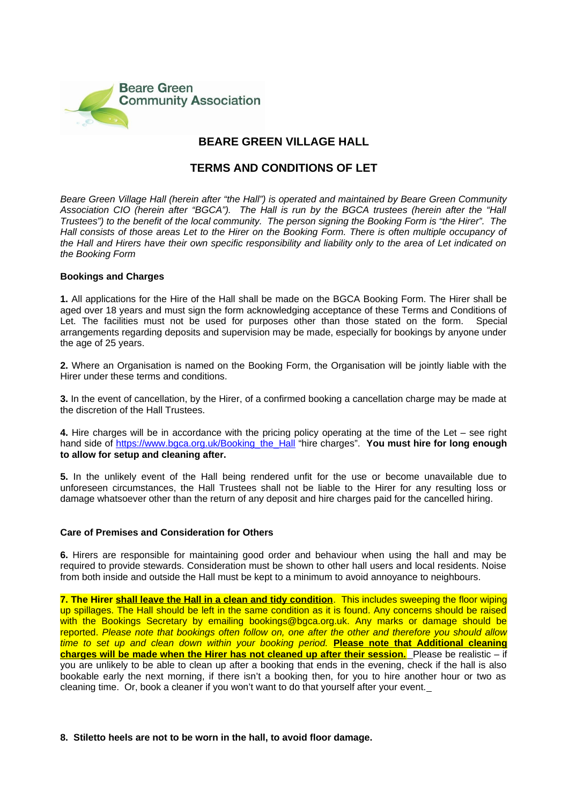

# **BEARE GREEN VILLAGE HALL**

# **TERMS AND CONDITIONS OF LET**

*Beare Green Village Hall (herein after "the Hall") is operated and maintained by Beare Green Community Association CIO (herein after "BGCA"). The Hall is run by the BGCA trustees (herein after the "Hall Trustees") to the benefit of the local community. The person signing the Booking Form is "the Hirer". The Hall consists of those areas Let to the Hirer on the Booking Form. There is often multiple occupancy of the Hall and Hirers have their own specific responsibility and liability only to the area of Let indicated on the Booking Form*

# **Bookings and Charges**

**1.** All applications for the Hire of the Hall shall be made on the BGCA Booking Form. The Hirer shall be aged over 18 years and must sign the form acknowledging acceptance of these Terms and Conditions of Let. The facilities must not be used for purposes other than those stated on the form.Special arrangements regarding deposits and supervision may be made, especially for bookings by anyone under the age of 25 years.

**2.** Where an Organisation is named on the Booking Form, the Organisation will be jointly liable with the Hirer under these terms and conditions.

**3.** In the event of cancellation, by the Hirer, of a confirmed booking a cancellation charge may be made at the discretion of the Hall Trustees.

**4.** Hire charges will be in accordance with the pricing policy operating at the time of the Let – see right hand side of [https://www.bgca.org.uk/Booking\\_the\\_Hall](https://www.bgca.org.uk/Booking_the_Hall) "hire charges". **You must hire for long enough to allow for setup and cleaning after.** 

**5.** In the unlikely event of the Hall being rendered unfit for the use or become unavailable due to unforeseen circumstances, the Hall Trustees shall not be liable to the Hirer for any resulting loss or damage whatsoever other than the return of any deposit and hire charges paid for the cancelled hiring.

# **Care of Premises and Consideration for Others**

**6.** Hirers are responsible for maintaining good order and behaviour when using the hall and may be required to provide stewards. Consideration must be shown to other hall users and local residents. Noise from both inside and outside the Hall must be kept to a minimum to avoid annoyance to neighbours.

**7. The Hirer shall leave the Hall in a clean and tidy condition**. This includes sweeping the floor wiping up spillages. The Hall should be left in the same condition as it is found. Any concerns should be raised with the Bookings Secretary by emailing bookings@bgca.org.uk. Any marks or damage should be reported. *Please note that bookings often follow on, one after the other and therefore you should allow time to set up and clean down within your booking period.* **Please note that Additional cleaning charges will be made when the Hirer has not cleaned up after their session.** Please be realistic – if you are unlikely to be able to clean up after a booking that ends in the evening, check if the hall is also bookable early the next morning, if there isn't a booking then, for you to hire another hour or two as cleaning time. Or, book a cleaner if you won't want to do that yourself after your event.

# **8. Stiletto heels are not to be worn in the hall, to avoid floor damage.**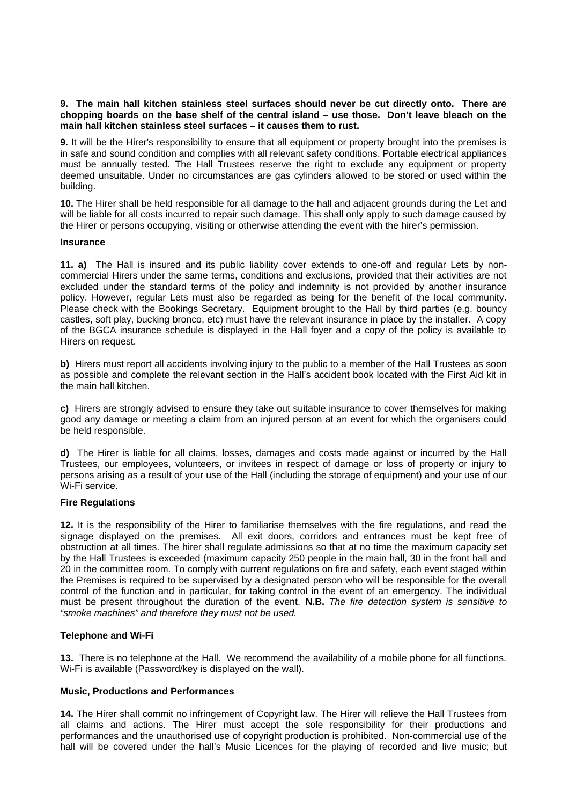# **9. The main hall kitchen stainless steel surfaces should never be cut directly onto. There are chopping boards on the base shelf of the central island – use those. Don't leave bleach on the main hall kitchen stainless steel surfaces – it causes them to rust.**

**9.** It will be the Hirer's responsibility to ensure that all equipment or property brought into the premises is in safe and sound condition and complies with all relevant safety conditions. Portable electrical appliances must be annually tested. The Hall Trustees reserve the right to exclude any equipment or property deemed unsuitable. Under no circumstances are gas cylinders allowed to be stored or used within the building.

**10.** The Hirer shall be held responsible for all damage to the hall and adjacent grounds during the Let and will be liable for all costs incurred to repair such damage. This shall only apply to such damage caused by the Hirer or persons occupying, visiting or otherwise attending the event with the hirer's permission.

# **Insurance**

**11. a)** The Hall is insured and its public liability cover extends to one-off and regular Lets by noncommercial Hirers under the same terms, conditions and exclusions, provided that their activities are not excluded under the standard terms of the policy and indemnity is not provided by another insurance policy. However, regular Lets must also be regarded as being for the benefit of the local community. Please check with the Bookings Secretary. Equipment brought to the Hall by third parties (e.g. bouncy castles, soft play, bucking bronco, etc) must have the relevant insurance in place by the installer. A copy of the BGCA insurance schedule is displayed in the Hall foyer and a copy of the policy is available to Hirers on request.

**b)** Hirers must report all accidents involving injury to the public to a member of the Hall Trustees as soon as possible and complete the relevant section in the Hall's accident book located with the First Aid kit in the main hall kitchen.

**c)** Hirers are strongly advised to ensure they take out suitable insurance to cover themselves for making good any damage or meeting a claim from an injured person at an event for which the organisers could be held responsible.

**d)** The Hirer is liable for all claims, losses, damages and costs made against or incurred by the Hall Trustees, our employees, volunteers, or invitees in respect of damage or loss of property or injury to persons arising as a result of your use of the Hall (including the storage of equipment) and your use of our Wi-Fi service.

# **Fire Regulations**

**12.** It is the responsibility of the Hirer to familiarise themselves with the fire regulations, and read the signage displayed on the premises. All exit doors, corridors and entrances must be kept free of obstruction at all times. The hirer shall regulate admissions so that at no time the maximum capacity set by the Hall Trustees is exceeded (maximum capacity 250 people in the main hall, 30 in the front hall and 20 in the committee room. To comply with current regulations on fire and safety, each event staged within the Premises is required to be supervised by a designated person who will be responsible for the overall control of the function and in particular, for taking control in the event of an emergency. The individual must be present throughout the duration of the event. **N.B.** *The fire detection system is sensitive to "smoke machines" and therefore they must not be used.*

# **Telephone and Wi-Fi**

**13.** There is no telephone at the Hall. We recommend the availability of a mobile phone for all functions. Wi-Fi is available (Password/key is displayed on the wall).

# **Music, Productions and Performances**

**14.** The Hirer shall commit no infringement of Copyright law. The Hirer will relieve the Hall Trustees from all claims and actions. The Hirer must accept the sole responsibility for their productions and performances and the unauthorised use of copyright production is prohibited. Non-commercial use of the hall will be covered under the hall's Music Licences for the playing of recorded and live music; but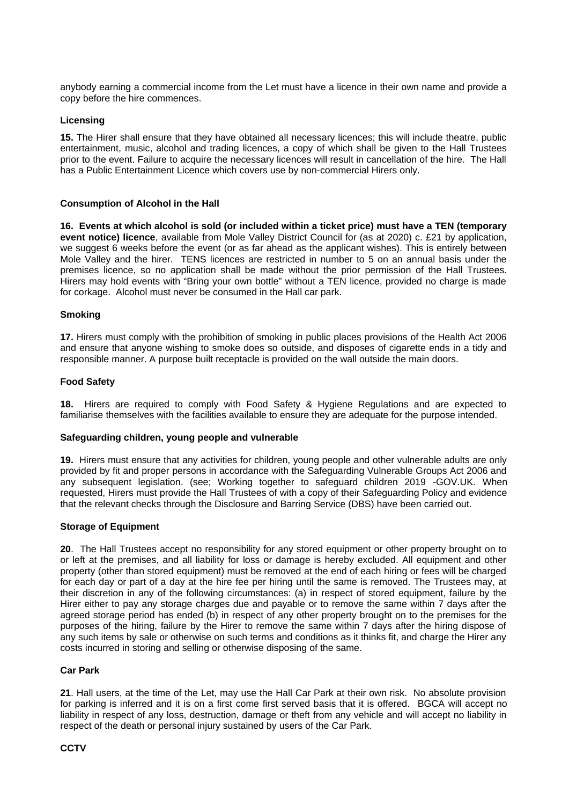anybody earning a commercial income from the Let must have a licence in their own name and provide a copy before the hire commences.

# **Licensing**

**15.** The Hirer shall ensure that they have obtained all necessary licences; this will include theatre, public entertainment, music, alcohol and trading licences, a copy of which shall be given to the Hall Trustees prior to the event. Failure to acquire the necessary licences will result in cancellation of the hire. The Hall has a Public Entertainment Licence which covers use by non-commercial Hirers only.

# **Consumption of Alcohol in the Hall**

**16. Events at which alcohol is sold (or included within a ticket price) must have a TEN (temporary event notice) licence**, available from Mole Valley District Council for (as at 2020) c. £21 by application, we suggest 6 weeks before the event (or as far ahead as the applicant wishes). This is entirely between Mole Valley and the hirer. TENS licences are restricted in number to 5 on an annual basis under the premises licence, so no application shall be made without the prior permission of the Hall Trustees. Hirers may hold events with "Bring your own bottle" without a TEN licence, provided no charge is made for corkage. Alcohol must never be consumed in the Hall car park.

# **Smoking**

**17.** Hirers must comply with the prohibition of smoking in public places provisions of the Health Act 2006 and ensure that anyone wishing to smoke does so outside, and disposes of cigarette ends in a tidy and responsible manner. A purpose built receptacle is provided on the wall outside the main doors.

# **Food Safety**

**18.** Hirers are required to comply with Food Safety & Hygiene Regulations and are expected to familiarise themselves with the facilities available to ensure they are adequate for the purpose intended.

# **Safeguarding children, young people and vulnerable**

**19.** Hirers must ensure that any activities for children, young people and other vulnerable adults are only provided by fit and proper persons in accordance with the Safeguarding Vulnerable Groups Act 2006 and any subsequent legislation. (see; Working together to safeguard children 2019 -GOV.UK. When requested, Hirers must provide the Hall Trustees of with a copy of their Safeguarding Policy and evidence that the relevant checks through the Disclosure and Barring Service (DBS) have been carried out.

# **Storage of Equipment**

**20**. The Hall Trustees accept no responsibility for any stored equipment or other property brought on to or left at the premises, and all liability for loss or damage is hereby excluded. All equipment and other property (other than stored equipment) must be removed at the end of each hiring or fees will be charged for each day or part of a day at the hire fee per hiring until the same is removed. The Trustees may, at their discretion in any of the following circumstances: (a) in respect of stored equipment, failure by the Hirer either to pay any storage charges due and payable or to remove the same within 7 days after the agreed storage period has ended (b) in respect of any other property brought on to the premises for the purposes of the hiring, failure by the Hirer to remove the same within 7 days after the hiring dispose of any such items by sale or otherwise on such terms and conditions as it thinks fit, and charge the Hirer any costs incurred in storing and selling or otherwise disposing of the same.

# **Car Park**

**21**. Hall users, at the time of the Let, may use the Hall Car Park at their own risk. No absolute provision for parking is inferred and it is on a first come first served basis that it is offered. BGCA will accept no liability in respect of any loss, destruction, damage or theft from any vehicle and will accept no liability in respect of the death or personal injury sustained by users of the Car Park.

# **CCTV**